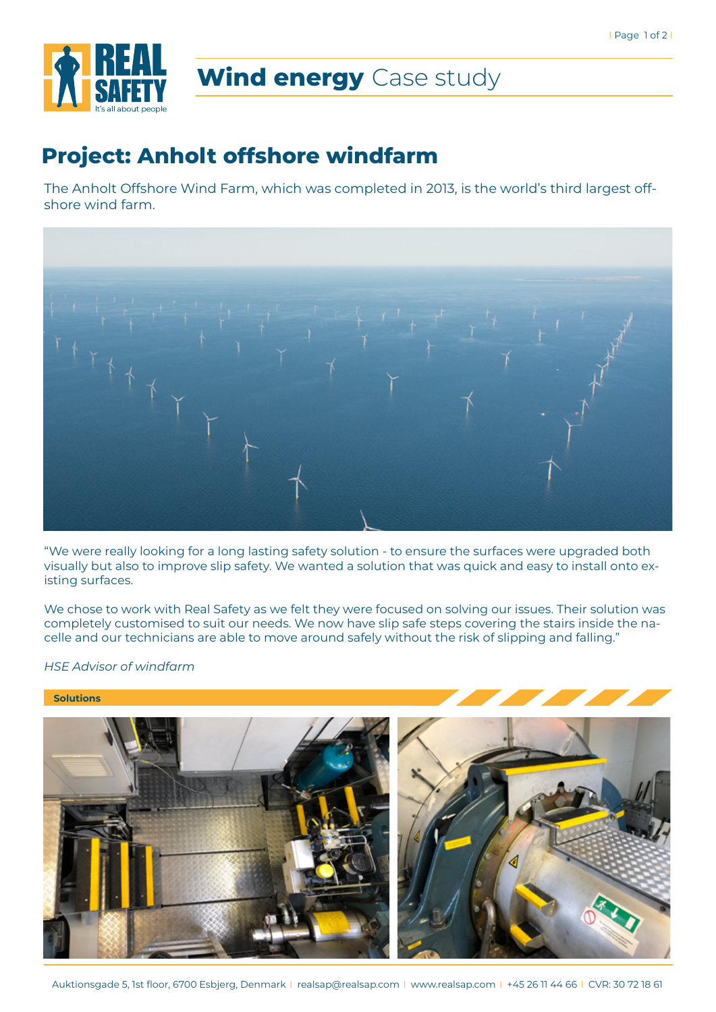

# **Wind energy** Case study

### **Project: Anholt offshore windfarm**

The Anholt Offshore Wind Farm, which was completed in 2013, is the world's third largest offshore wind farm.



"We were really looking for a long lasting safety solution - to ensure the surfaces were upgraded both visually but also to improve slip safety. We wanted a solution that was quick and easy to install onto existing surfaces.

We chose to work with Real Safety as we felt they were focused on solving our issues. Their solution was completely customised to suit our needs. We now have slip safe steps covering the stairs inside the nacelle and our technicians are able to move around safely without the risk of slipping and falling."

*HSE Advisor of windfarm*